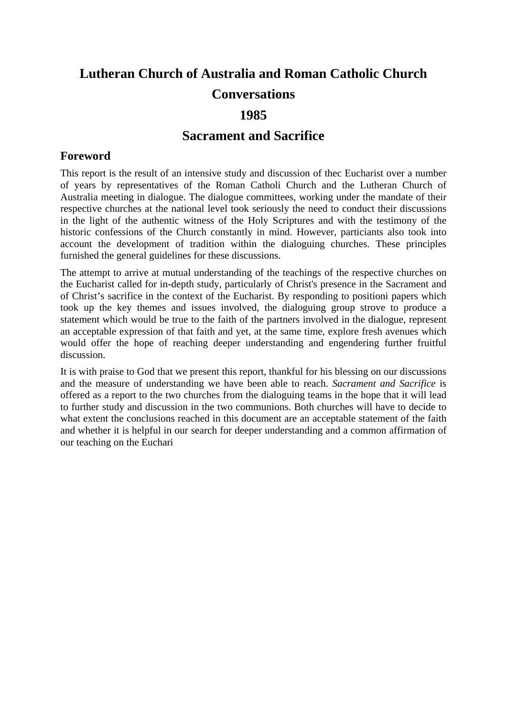# **Lutheran Church of Australia and Roman Catholic Church Conversations 1985**

### **Sacrament and Sacrifice**

### **Foreword**

This report is the result of an intensive study and discussion of thec Eucharist over a number of years by representatives of the Roman Catholi Church and the Lutheran Church of Australia meeting in dialogue. The dialogue committees, working under the mandate of their respective churches at the national level took seriously the need to conduct their discussions in the light of the authentic witness of the Holy Scriptures and with the testimony of the historic confessions of the Church constantly in mind. However, particiants also took into account the development of tradition within the dialoguing churches. These principles furnished the general guidelines for these discussions.

The attempt to arrive at mutual understanding of the teachings of the respective churches on the Eucharist called for in-depth study, particularly of Christ's presence in the Sacrament and of Christ's sacrifice in the context of the Eucharist. By responding to positioni papers which took up the key themes and issues involved, the dialoguing group strove to produce a statement which would be true to the faith of the partners involved in the dialogue, represent an acceptable expression of that faith and yet, at the same time, explore fresh avenues which would offer the hope of reaching deeper understanding and engendering further fruitful discussion.

It is with praise to God that we present this report, thankful for his blessing on our discussions and the measure of understanding we have been able to reach. *Sacrament and Sacrifice* is offered as a report to the two churches from the dialoguing teams in the hope that it will lead to further study and discussion in the two communions. Both churches will have to decide to what extent the conclusions reached in this document are an acceptable statement of the faith and whether it is helpful in our search for deeper understanding and a common affirmation of our teaching on the Euchari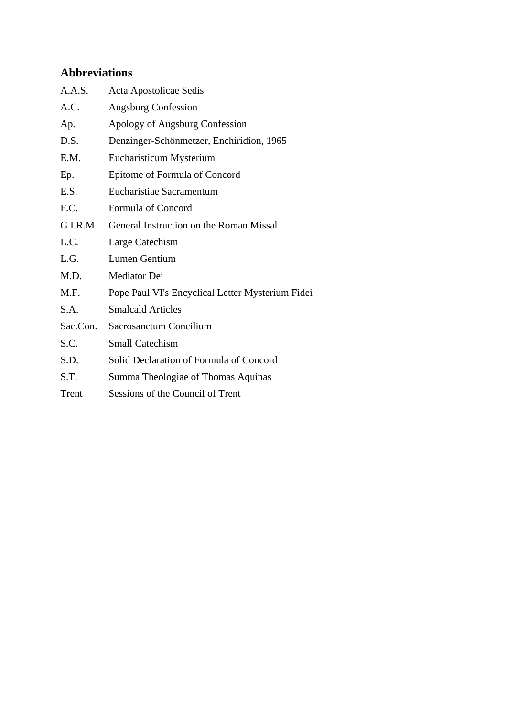## **Abbreviations**

| A.A.S.   | Acta Apostolicae Sedis                           |
|----------|--------------------------------------------------|
| A.C.     | <b>Augsburg Confession</b>                       |
| Ap.      | Apology of Augsburg Confession                   |
| D.S.     | Denzinger-Schönmetzer, Enchiridion, 1965         |
| E.M.     | Eucharisticum Mysterium                          |
| Ep.      | Epitome of Formula of Concord                    |
| E.S.     | Eucharistiae Sacramentum                         |
| F.C.     | Formula of Concord                               |
| G.I.R.M. | General Instruction on the Roman Missal          |
| L.C.     | Large Catechism                                  |
| L.G.     | Lumen Gentium                                    |
| M.D.     | Mediator Dei                                     |
| M.F.     | Pope Paul VI's Encyclical Letter Mysterium Fidei |
| S.A.     | <b>Smalcald Articles</b>                         |
| Sac.Con. | Sacrosanctum Concilium                           |
| S.C.     | <b>Small Catechism</b>                           |
| S.D.     | Solid Declaration of Formula of Concord          |
| S.T.     | Summa Theologiae of Thomas Aquinas               |
|          |                                                  |

Trent Sessions of the Council of Trent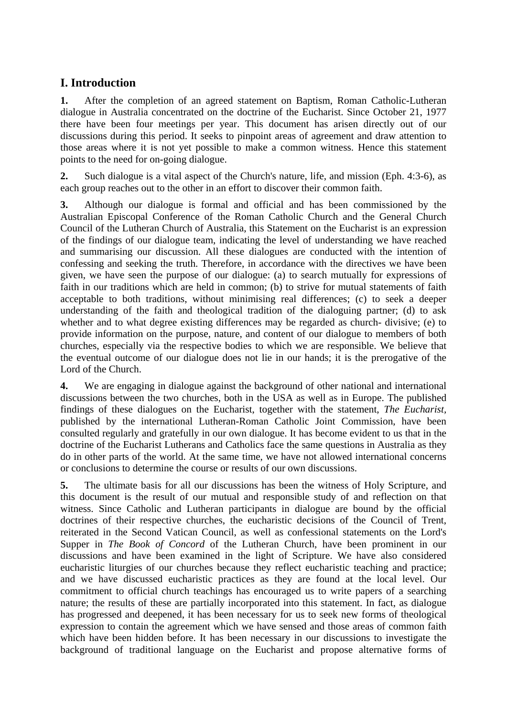## **I. Introduction**

**1.** After the completion of an agreed statement on Baptism, Roman Catholic-Lutheran dialogue in Australia concentrated on the doctrine of the Eucharist. Since October 21, 1977 there have been four meetings per year. This document has arisen directly out of our discussions during this period. It seeks to pinpoint areas of agreement and draw attention to those areas where it is not yet possible to make a common witness. Hence this statement points to the need for on-going dialogue.

**2.** Such dialogue is a vital aspect of the Church's nature, life, and mission (Eph. 4:3-6), as each group reaches out to the other in an effort to discover their common faith.

**3.** Although our dialogue is formal and official and has been commissioned by the Australian Episcopal Conference of the Roman Catholic Church and the General Church Council of the Lutheran Church of Australia, this Statement on the Eucharist is an expression of the findings of our dialogue team, indicating the level of understanding we have reached and summarising our discussion. All these dialogues are conducted with the intention of confessing and seeking the truth. Therefore, in accordance with the directives we have been given, we have seen the purpose of our dialogue: (a) to search mutually for expressions of faith in our traditions which are held in common; (b) to strive for mutual statements of faith acceptable to both traditions, without minimising real differences; (c) to seek a deeper understanding of the faith and theological tradition of the dialoguing partner; (d) to ask whether and to what degree existing differences may be regarded as church- divisive; (e) to provide information on the purpose, nature, and content of our dialogue to members of both churches, especially via the respective bodies to which we are responsible. We believe that the eventual outcome of our dialogue does not lie in our hands; it is the prerogative of the Lord of the Church.

**4.** We are engaging in dialogue against the background of other national and international discussions between the two churches, both in the USA as well as in Europe. The published findings of these dialogues on the Eucharist, together with the statement, *The Eucharist,*  published by the international Lutheran-Roman Catholic Joint Commission, have been consulted regularly and gratefully in our own dialogue. It has become evident to us that in the doctrine of the Eucharist Lutherans and Catholics face the same questions in Australia as they do in other parts of the world. At the same time, we have not allowed international concerns or conclusions to determine the course or results of our own discussions.

**5.** The ultimate basis for all our discussions has been the witness of Holy Scripture, and this document is the result of our mutual and responsible study of and reflection on that witness. Since Catholic and Lutheran participants in dialogue are bound by the official doctrines of their respective churches, the eucharistic decisions of the Council of Trent, reiterated in the Second Vatican Council, as well as confessional statements on the Lord's Supper in *The Book of Concord* of the Lutheran Church, have been prominent in our discussions and have been examined in the light of Scripture. We have also considered eucharistic liturgies of our churches because they reflect eucharistic teaching and practice; and we have discussed eucharistic practices as they are found at the local level. Our commitment to official church teachings has encouraged us to write papers of a searching nature; the results of these are partially incorporated into this statement. In fact, as dialogue has progressed and deepened, it has been necessary for us to seek new forms of theological expression to contain the agreement which we have sensed and those areas of common faith which have been hidden before. It has been necessary in our discussions to investigate the background of traditional language on the Eucharist and propose alternative forms of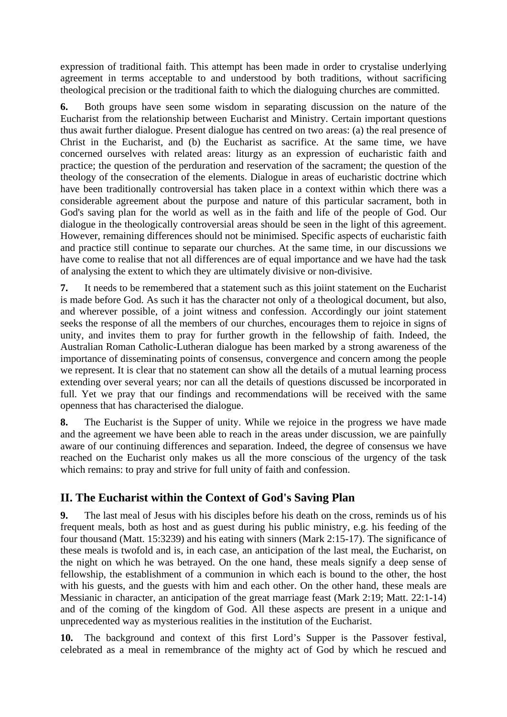expression of traditional faith. This attempt has been made in order to crystalise underlying agreement in terms acceptable to and understood by both traditions, without sacrificing theological precision or the traditional faith to which the dialoguing churches are committed.

**6.** Both groups have seen some wisdom in separating discussion on the nature of the Eucharist from the relationship between Eucharist and Ministry. Certain important questions thus await further dialogue. Present dialogue has centred on two areas: (a) the real presence of Christ in the Eucharist, and (b) the Eucharist as sacrifice. At the same time, we have concerned ourselves with related areas: liturgy as an expression of eucharistic faith and practice; the question of the perduration and reservation of the sacrament; the question of the theology of the consecration of the elements. Dialogue in areas of eucharistic doctrine which have been traditionally controversial has taken place in a context within which there was a considerable agreement about the purpose and nature of this particular sacrament, both in God's saving plan for the world as well as in the faith and life of the people of God. Our dialogue in the theologically controversial areas should be seen in the light of this agreement. However, remaining differences should not be minimised. Specific aspects of eucharistic faith and practice still continue to separate our churches. At the same time, in our discussions we have come to realise that not all differences are of equal importance and we have had the task of analysing the extent to which they are ultimately divisive or non-divisive.

**7.** It needs to be remembered that a statement such as this joiint statement on the Eucharist is made before God. As such it has the character not only of a theological document, but also, and wherever possible, of a joint witness and confession. Accordingly our joint statement seeks the response of all the members of our churches, encourages them to rejoice in signs of unity, and invites them to pray for further growth in the fellowship of faith. Indeed, the Australian Roman Catholic-Lutheran dialogue has been marked by a strong awareness of the importance of disseminating points of consensus, convergence and concern among the people we represent. It is clear that no statement can show all the details of a mutual learning process extending over several years; nor can all the details of questions discussed be incorporated in full. Yet we pray that our findings and recommendations will be received with the same openness that has characterised the dialogue.

**8.** The Eucharist is the Supper of unity. While we rejoice in the progress we have made and the agreement we have been able to reach in the areas under discussion, we are painfully aware of our continuing differences and separation. Indeed, the degree of consensus we have reached on the Eucharist only makes us all the more conscious of the urgency of the task which remains: to pray and strive for full unity of faith and confession.

## **II. The Eucharist within the Context of God's Saving Plan**

**9.** The last meal of Jesus with his disciples before his death on the cross, reminds us of his frequent meals, both as host and as guest during his public ministry, e.g. his feeding of the four thousand (Matt. 15:3239) and his eating with sinners (Mark 2:15-17). The significance of these meals is twofold and is, in each case, an anticipation of the last meal, the Eucharist, on the night on which he was betrayed. On the one hand, these meals signify a deep sense of fellowship, the establishment of a communion in which each is bound to the other, the host with his guests, and the guests with him and each other. On the other hand, these meals are Messianic in character, an anticipation of the great marriage feast (Mark 2:19; Matt. 22:1-14) and of the coming of the kingdom of God. All these aspects are present in a unique and unprecedented way as mysterious realities in the institution of the Eucharist.

**10.** The background and context of this first Lord's Supper is the Passover festival, celebrated as a meal in remembrance of the mighty act of God by which he rescued and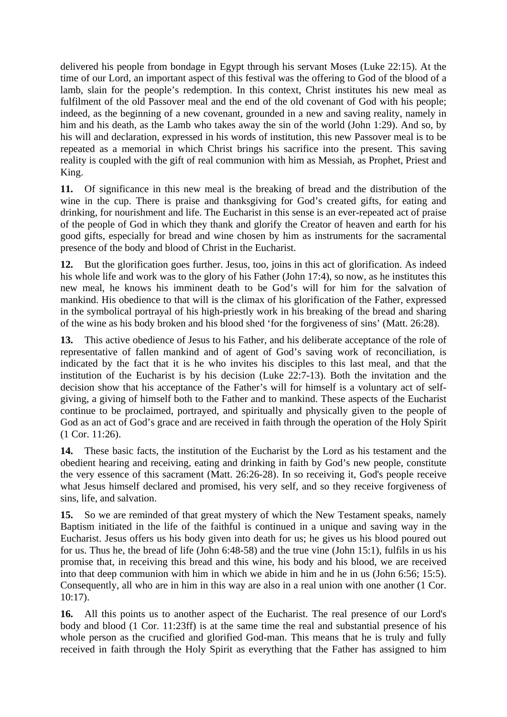delivered his people from bondage in Egypt through his servant Moses (Luke 22:15). At the time of our Lord, an important aspect of this festival was the offering to God of the blood of a lamb, slain for the people's redemption. In this context, Christ institutes his new meal as fulfilment of the old Passover meal and the end of the old covenant of God with his people; indeed, as the beginning of a new covenant, grounded in a new and saving reality, namely in him and his death, as the Lamb who takes away the sin of the world (John 1:29). And so, by his will and declaration, expressed in his words of institution, this new Passover meal is to be repeated as a memorial in which Christ brings his sacrifice into the present. This saving reality is coupled with the gift of real communion with him as Messiah, as Prophet, Priest and King.

**11.** Of significance in this new meal is the breaking of bread and the distribution of the wine in the cup. There is praise and thanksgiving for God's created gifts, for eating and drinking, for nourishment and life. The Eucharist in this sense is an ever-repeated act of praise of the people of God in which they thank and glorify the Creator of heaven and earth for his good gifts, especially for bread and wine chosen by him as instruments for the sacramental presence of the body and blood of Christ in the Eucharist.

**12.** But the glorification goes further. Jesus, too, joins in this act of glorification. As indeed his whole life and work was to the glory of his Father (John 17:4), so now, as he institutes this new meal, he knows his imminent death to be God's will for him for the salvation of mankind. His obedience to that will is the climax of his glorification of the Father, expressed in the symbolical portrayal of his high-priestly work in his breaking of the bread and sharing of the wine as his body broken and his blood shed 'for the forgiveness of sins' (Matt. 26:28).

**13.** This active obedience of Jesus to his Father, and his deliberate acceptance of the role of representative of fallen mankind and of agent of God's saving work of reconciliation, is indicated by the fact that it is he who invites his disciples to this last meal, and that the institution of the Eucharist is by his decision (Luke 22:7-13). Both the invitation and the decision show that his acceptance of the Father's will for himself is a voluntary act of selfgiving, a giving of himself both to the Father and to mankind. These aspects of the Eucharist continue to be proclaimed, portrayed, and spiritually and physically given to the people of God as an act of God's grace and are received in faith through the operation of the Holy Spirit (1 Cor. 11:26).

**14.** These basic facts, the institution of the Eucharist by the Lord as his testament and the obedient hearing and receiving, eating and drinking in faith by God's new people, constitute the very essence of this sacrament (Matt. 26:26-28). In so receiving it, God's people receive what Jesus himself declared and promised, his very self, and so they receive forgiveness of sins, life, and salvation.

**15.** So we are reminded of that great mystery of which the New Testament speaks, namely Baptism initiated in the life of the faithful is continued in a unique and saving way in the Eucharist. Jesus offers us his body given into death for us; he gives us his blood poured out for us. Thus he, the bread of life (John 6:48-58) and the true vine (John 15:1), fulfils in us his promise that, in receiving this bread and this wine, his body and his blood, we are received into that deep communion with him in which we abide in him and he in us (John 6:56; 15:5). Consequently, all who are in him in this way are also in a real union with one another (1 Cor. 10:17).

**16.** All this points us to another aspect of the Eucharist. The real presence of our Lord's body and blood (1 Cor. 11:23ff) is at the same time the real and substantial presence of his whole person as the crucified and glorified God-man. This means that he is truly and fully received in faith through the Holy Spirit as everything that the Father has assigned to him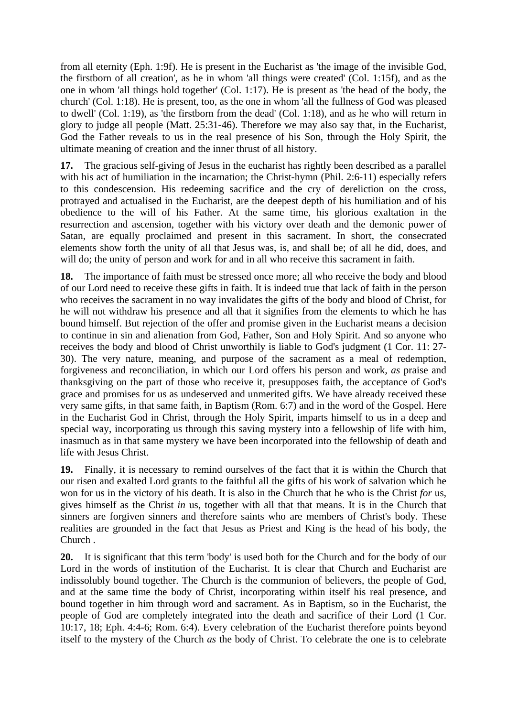from all eternity (Eph. 1:9f). He is present in the Eucharist as 'the image of the invisible God, the firstborn of all creation', as he in whom 'all things were created' (Col. 1:15f), and as the one in whom 'all things hold together' (Col. 1:17). He is present as 'the head of the body, the church' (Col. 1:18). He is present, too, as the one in whom 'all the fullness of God was pleased to dwell' (Col. 1:19), as 'the firstborn from the dead' (Col. 1:18), and as he who will return in glory to judge all people (Matt. 25:31-46). Therefore we may also say that, in the Eucharist, God the Father reveals to us in the real presence of his Son, through the Holy Spirit, the ultimate meaning of creation and the inner thrust of all history.

**17.** The gracious self-giving of Jesus in the eucharist has rightly been described as a parallel with his act of humiliation in the incarnation; the Christ-hymn (Phil. 2:6-11) especially refers to this condescension. His redeeming sacrifice and the cry of dereliction on the cross, protrayed and actualised in the Eucharist, are the deepest depth of his humiliation and of his obedience to the will of his Father. At the same time, his glorious exaltation in the resurrection and ascension, together with his victory over death and the demonic power of Satan, are equally proclaimed and present in this sacrament. In short, the consecrated elements show forth the unity of all that Jesus was, is, and shall be; of all he did, does, and will do; the unity of person and work for and in all who receive this sacrament in faith.

**18.** The importance of faith must be stressed once more; all who receive the body and blood of our Lord need to receive these gifts in faith. It is indeed true that lack of faith in the person who receives the sacrament in no way invalidates the gifts of the body and blood of Christ, for he will not withdraw his presence and all that it signifies from the elements to which he has bound himself. But rejection of the offer and promise given in the Eucharist means a decision to continue in sin and alienation from God, Father, Son and Holy Spirit. And so anyone who receives the body and blood of Christ unworthily is liable to God's judgment (1 Cor. 11: 27- 30). The very nature, meaning, and purpose of the sacrament as a meal of redemption, forgiveness and reconciliation, in which our Lord offers his person and work, *as* praise and thanksgiving on the part of those who receive it, presupposes faith, the acceptance of God's grace and promises for us as undeserved and unmerited gifts. We have already received these very same gifts, in that same faith, in Baptism (Rom. 6:7) and in the word of the Gospel. Here in the Eucharist God in Christ, through the Holy Spirit, imparts himself to us in a deep and special way, incorporating us through this saving mystery into a fellowship of life with him, inasmuch as in that same mystery we have been incorporated into the fellowship of death and life with Jesus Christ.

**19.** Finally, it is necessary to remind ourselves of the fact that it is within the Church that our risen and exalted Lord grants to the faithful all the gifts of his work of salvation which he won for us in the victory of his death. It is also in the Church that he who is the Christ *for* us, gives himself as the Christ *in* us, together with all that that means. It is in the Church that sinners are forgiven sinners and therefore saints who are members of Christ's body. These realities are grounded in the fact that Jesus as Priest and King is the head of his body, the Church .

**20.** It is significant that this term 'body' is used both for the Church and for the body of our Lord in the words of institution of the Eucharist. It is clear that Church and Eucharist are indissolubly bound together. The Church is the communion of believers, the people of God, and at the same time the body of Christ, incorporating within itself his real presence, and bound together in him through word and sacrament. As in Baptism, so in the Eucharist, the people of God are completely integrated into the death and sacrifice of their Lord (1 Cor. 10:17, 18; Eph. 4:4-6; Rom. 6:4). Every celebration of the Eucharist therefore points beyond itself to the mystery of the Church *as* the body of Christ. To celebrate the one is to celebrate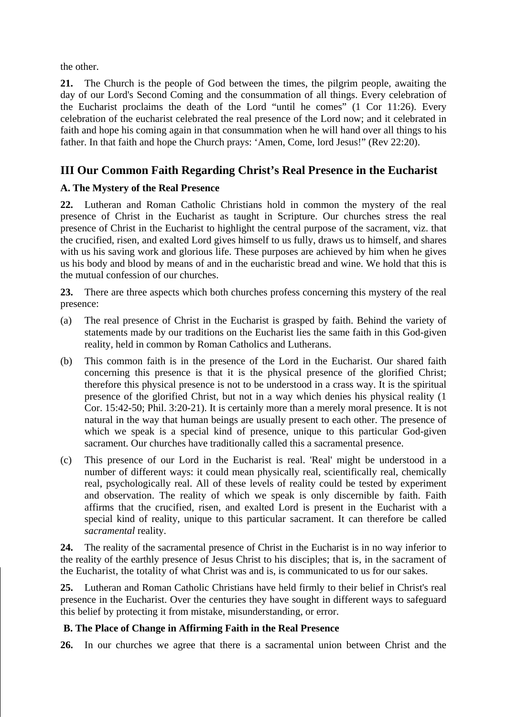the other.

**21.** The Church is the people of God between the times, the pilgrim people, awaiting the day of our Lord's Second Coming and the consummation of all things. Every celebration of the Eucharist proclaims the death of the Lord "until he comes" (1 Cor 11:26). Every celebration of the eucharist celebrated the real presence of the Lord now; and it celebrated in faith and hope his coming again in that consummation when he will hand over all things to his father. In that faith and hope the Church prays: 'Amen, Come, lord Jesus!" (Rev 22:20).

## **III Our Common Faith Regarding Christ's Real Presence in the Eucharist**

### **A. The Mystery of the Real Presence**

**22.** Lutheran and Roman Catholic Christians hold in common the mystery of the real presence of Christ in the Eucharist as taught in Scripture. Our churches stress the real presence of Christ in the Eucharist to highlight the central purpose of the sacrament, viz. that the crucified, risen, and exalted Lord gives himself to us fully, draws us to himself, and shares with us his saving work and glorious life. These purposes are achieved by him when he gives us his body and blood by means of and in the eucharistic bread and wine. We hold that this is the mutual confession of our churches.

**23.** There are three aspects which both churches profess concerning this mystery of the real presence:

- (a) The real presence of Christ in the Eucharist is grasped by faith. Behind the variety of statements made by our traditions on the Eucharist lies the same faith in this God-given reality, held in common by Roman Catholics and Lutherans.
- (b) This common faith is in the presence of the Lord in the Eucharist. Our shared faith concerning this presence is that it is the physical presence of the glorified Christ; therefore this physical presence is not to be understood in a crass way. It is the spiritual presence of the glorified Christ, but not in a way which denies his physical reality (1 Cor. 15:42-50; Phil. 3:20-21). It is certainly more than a merely moral presence. It is not natural in the way that human beings are usually present to each other. The presence of which we speak is a special kind of presence, unique to this particular God-given sacrament. Our churches have traditionally called this a sacramental presence.
- (c) This presence of our Lord in the Eucharist is real. 'Real' might be understood in a number of different ways: it could mean physically real, scientifically real, chemically real, psychologically real. All of these levels of reality could be tested by experiment and observation. The reality of which we speak is only discernible by faith. Faith affirms that the crucified, risen, and exalted Lord is present in the Eucharist with a special kind of reality, unique to this particular sacrament. It can therefore be called *sacramental* reality.

**24.** The reality of the sacramental presence of Christ in the Eucharist is in no way inferior to the reality of the earthly presence of Jesus Christ to his disciples; that is, in the sacrament of the Eucharist, the totality of what Christ was and is, is communicated to us for our sakes.

**25.** Lutheran and Roman Catholic Christians have held firmly to their belief in Christ's real presence in the Eucharist. Over the centuries they have sought in different ways to safeguard this belief by protecting it from mistake, misunderstanding, or error.

### **B. The Place of Change in Affirming Faith in the Real Presence**

**26.** In our churches we agree that there is a sacramental union between Christ and the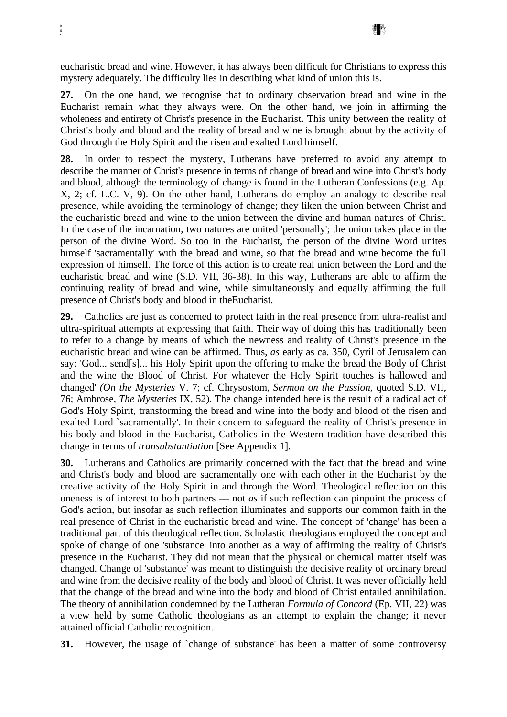eucharistic bread and wine. However, it has always been difficult for Christians to express this mystery adequately. The difficulty lies in describing what kind of union this is.

**27.** On the one hand, we recognise that to ordinary observation bread and wine in the Eucharist remain what they always were. On the other hand, we join in affirming the wholeness and entirety of Christ's presence in the Eucharist. This unity between the reality of Christ's body and blood and the reality of bread and wine is brought about by the activity of God through the Holy Spirit and the risen and exalted Lord himself.

**28.** In order to respect the mystery, Lutherans have preferred to avoid any attempt to describe the manner of Christ's presence in terms of change of bread and wine into Christ's body and blood, although the terminology of change is found in the Lutheran Confessions (e.g. Ap. X, 2; cf. L.C. V, 9). On the other hand, Lutherans do employ an analogy to describe real presence, while avoiding the terminology of change; they liken the union between Christ and the eucharistic bread and wine to the union between the divine and human natures of Christ. In the case of the incarnation, two natures are united 'personally'; the union takes place in the person of the divine Word. So too in the Eucharist, the person of the divine Word unites himself 'sacramentally' with the bread and wine, so that the bread and wine become the full expression of himself. The force of this action is to create real union between the Lord and the eucharistic bread and wine (S.D. VII, 36-38). In this way, Lutherans are able to affirm the continuing reality of bread and wine, while simultaneously and equally affirming the full presence of Christ's body and blood in theEucharist.

**29.** Catholics are just as concerned to protect faith in the real presence from ultra-realist and ultra-spiritual attempts at expressing that faith. Their way of doing this has traditionally been to refer to a change by means of which the newness and reality of Christ's presence in the eucharistic bread and wine can be affirmed. Thus, *as* early as ca. 350, Cyril of Jerusalem can say: 'God... send[s]... his Holy Spirit upon the offering to make the bread the Body of Christ and the wine the Blood of Christ. For whatever the Holy Spirit touches is hallowed and changed' *(On the Mysteries* V. 7; cf. Chrysostom, *Sermon on the Passion,* quoted S.D. VII, 76; Ambrose, *The Mysteries* IX, 52). The change intended here is the result of a radical act of God's Holy Spirit, transforming the bread and wine into the body and blood of the risen and exalted Lord `sacramentally'. In their concern to safeguard the reality of Christ's presence in his body and blood in the Eucharist, Catholics in the Western tradition have described this change in terms of *transubstantiation* [See Appendix 1].

**30.** Lutherans and Catholics are primarily concerned with the fact that the bread and wine and Christ's body and blood are sacramentally one with each other in the Eucharist by the creative activity of the Holy Spirit in and through the Word. Theological reflection on this oneness is of interest to both partners — not *as* if such reflection can pinpoint the process of God's action, but insofar as such reflection illuminates and supports our common faith in the real presence of Christ in the eucharistic bread and wine. The concept of 'change' has been a traditional part of this theological reflection. Scholastic theologians employed the concept and spoke of change of one 'substance' into another as a way of affirming the reality of Christ's presence in the Eucharist. They did not mean that the physical or chemical matter itself was changed. Change of 'substance' was meant to distinguish the decisive reality of ordinary bread and wine from the decisive reality of the body and blood of Christ. It was never officially held that the change of the bread and wine into the body and blood of Christ entailed annihilation. The theory of annihilation condemned by the Lutheran *Formula of Concord* (Ep. VII, 22) was a view held by some Catholic theologians as an attempt to explain the change; it never attained official Catholic recognition.

**31.** However, the usage of `change of substance' has been a matter of some controversy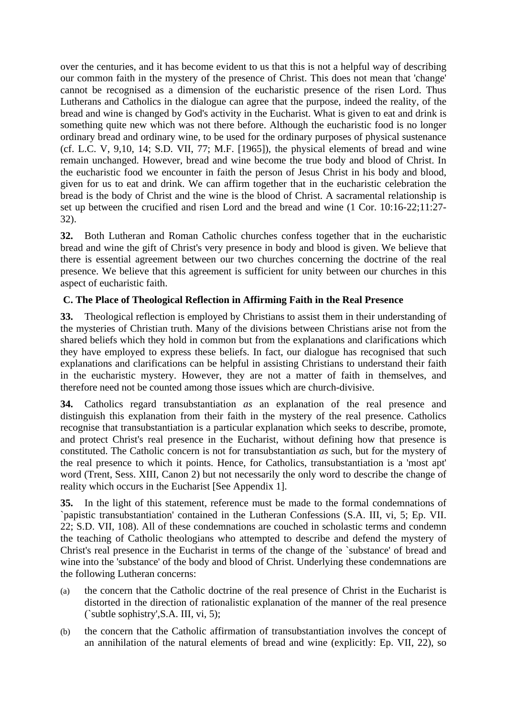over the centuries, and it has become evident to us that this is not a helpful way of describing our common faith in the mystery of the presence of Christ. This does not mean that 'change' cannot be recognised as a dimension of the eucharistic presence of the risen Lord. Thus Lutherans and Catholics in the dialogue can agree that the purpose, indeed the reality, of the bread and wine is changed by God's activity in the Eucharist. What is given to eat and drink is something quite new which was not there before. Although the eucharistic food is no longer ordinary bread and ordinary wine, to be used for the ordinary purposes of physical sustenance (cf. L.C. V, 9,10, 14; S.D. VII, 77; M.F. [1965]), the physical elements of bread and wine remain unchanged. However, bread and wine become the true body and blood of Christ. In the eucharistic food we encounter in faith the person of Jesus Christ in his body and blood, given for us to eat and drink. We can affirm together that in the eucharistic celebration the bread is the body of Christ and the wine is the blood of Christ. A sacramental relationship is set up between the crucified and risen Lord and the bread and wine (1 Cor. 10:16-22;11:27- 32).

**32.** Both Lutheran and Roman Catholic churches confess together that in the eucharistic bread and wine the gift of Christ's very presence in body and blood is given. We believe that there is essential agreement between our two churches concerning the doctrine of the real presence. We believe that this agreement is sufficient for unity between our churches in this aspect of eucharistic faith.

### **C. The Place of Theological Reflection in Affirming Faith in the Real Presence**

**33.** Theological reflection is employed by Christians to assist them in their understanding of the mysteries of Christian truth. Many of the divisions between Christians arise not from the shared beliefs which they hold in common but from the explanations and clarifications which they have employed to express these beliefs. In fact, our dialogue has recognised that such explanations and clarifications can be helpful in assisting Christians to understand their faith in the eucharistic mystery. However, they are not a matter of faith in themselves, and therefore need not be counted among those issues which are church-divisive.

**34.** Catholics regard transubstantiation *as* an explanation of the real presence and distinguish this explanation from their faith in the mystery of the real presence. Catholics recognise that transubstantiation is a particular explanation which seeks to describe, promote, and protect Christ's real presence in the Eucharist, without defining how that presence is constituted. The Catholic concern is not for transubstantiation *as* such, but for the mystery of the real presence to which it points. Hence, for Catholics, transubstantiation is a 'most apt' word (Trent, Sess. XIII, Canon 2) but not necessarily the only word to describe the change of reality which occurs in the Eucharist [See Appendix 1].

**35.** In the light of this statement, reference must be made to the formal condemnations of `papistic transubstantiation' contained in the Lutheran Confessions (S.A. III, vi, 5; Ep. VII. 22; S.D. VII, 108). All of these condemnations are couched in scholastic terms and condemn the teaching of Catholic theologians who attempted to describe and defend the mystery of Christ's real presence in the Eucharist in terms of the change of the `substance' of bread and wine into the 'substance' of the body and blood of Christ. Underlying these condemnations are the following Lutheran concerns:

- (a) the concern that the Catholic doctrine of the real presence of Christ in the Eucharist is distorted in the direction of rationalistic explanation of the manner of the real presence (`subtle sophistry',S.A. III, vi, 5);
- (b) the concern that the Catholic affirmation of transubstantiation involves the concept of an annihilation of the natural elements of bread and wine (explicitly: Ep. VII, 22), so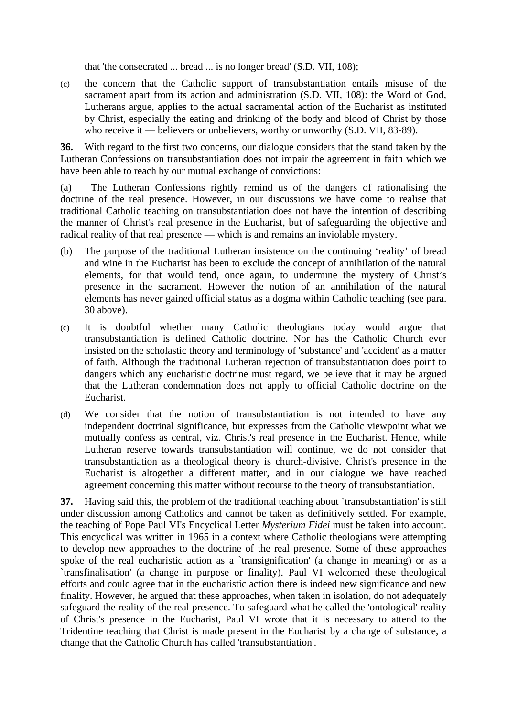that 'the consecrated ... bread ... is no longer bread' (S.D. VII, 108);

(c) the concern that the Catholic support of transubstantiation entails misuse of the sacrament apart from its action and administration (S.D. VII, 108): the Word of God, Lutherans argue, applies to the actual sacramental action of the Eucharist as instituted by Christ, especially the eating and drinking of the body and blood of Christ by those who receive it — believers or unbelievers, worthy or unworthy (S.D. VII, 83-89).

**36.** With regard to the first two concerns, our dialogue considers that the stand taken by the Lutheran Confessions on transubstantiation does not impair the agreement in faith which we have been able to reach by our mutual exchange of convictions:

(a) The Lutheran Confessions rightly remind us of the dangers of rationalising the doctrine of the real presence. However, in our discussions we have come to realise that traditional Catholic teaching on transubstantiation does not have the intention of describing the manner of Christ's real presence in the Eucharist, but of safeguarding the objective and radical reality of that real presence — which is and remains an inviolable mystery.

- (b) The purpose of the traditional Lutheran insistence on the continuing 'reality' of bread and wine in the Eucharist has been to exclude the concept of annihilation of the natural elements, for that would tend, once again, to undermine the mystery of Christ's presence in the sacrament. However the notion of an annihilation of the natural elements has never gained official status as a dogma within Catholic teaching (see para. 30 above).
- (c) It is doubtful whether many Catholic theologians today would argue that transubstantiation is defined Catholic doctrine. Nor has the Catholic Church ever insisted on the scholastic theory and terminology of 'substance' and 'accident' as a matter of faith. Although the traditional Lutheran rejection of transubstantiation does point to dangers which any eucharistic doctrine must regard, we believe that it may be argued that the Lutheran condemnation does not apply to official Catholic doctrine on the Eucharist.
- (d) We consider that the notion of transubstantiation is not intended to have any independent doctrinal significance, but expresses from the Catholic viewpoint what we mutually confess as central, viz. Christ's real presence in the Eucharist. Hence, while Lutheran reserve towards transubstantiation will continue, we do not consider that transubstantiation as a theological theory is church-divisive. Christ's presence in the Eucharist is altogether a different matter, and in our dialogue we have reached agreement concerning this matter without recourse to the theory of transubstantiation.

**37.** Having said this, the problem of the traditional teaching about `transubstantiation' is still under discussion among Catholics and cannot be taken as definitively settled. For example, the teaching of Pope Paul VI's Encyclical Letter *Mysterium Fidei* must be taken into account. This encyclical was written in 1965 in a context where Catholic theologians were attempting to develop new approaches to the doctrine of the real presence. Some of these approaches spoke of the real eucharistic action as a `transignification' (a change in meaning) or as a `transfinalisation' (a change in purpose or finality). Paul VI welcomed these theological efforts and could agree that in the eucharistic action there is indeed new significance and new finality. However, he argued that these approaches, when taken in isolation, do not adequately safeguard the reality of the real presence. To safeguard what he called the 'ontological' reality of Christ's presence in the Eucharist, Paul VI wrote that it is necessary to attend to the Tridentine teaching that Christ is made present in the Eucharist by a change of substance, a change that the Catholic Church has called 'transubstantiation'.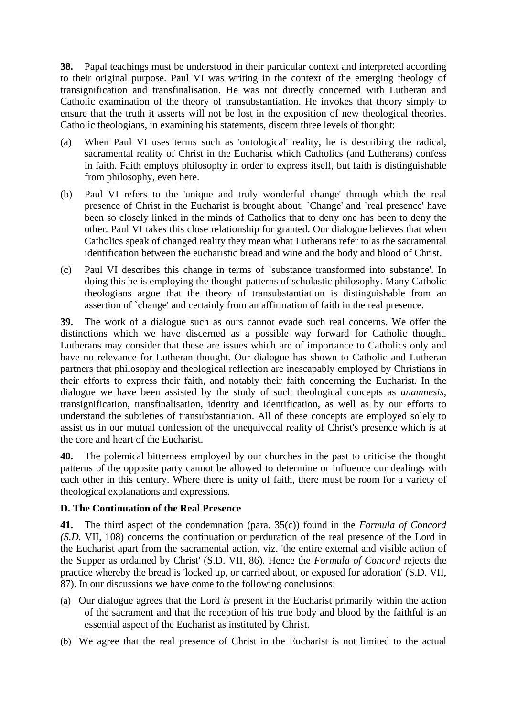**38.** Papal teachings must be understood in their particular context and interpreted according to their original purpose. Paul VI was writing in the context of the emerging theology of transignification and transfinalisation. He was not directly concerned with Lutheran and Catholic examination of the theory of transubstantiation. He invokes that theory simply to ensure that the truth it asserts will not be lost in the exposition of new theological theories. Catholic theologians, in examining his statements, discern three levels of thought:

- (a) When Paul VI uses terms such as 'ontological' reality, he is describing the radical, sacramental reality of Christ in the Eucharist which Catholics (and Lutherans) confess in faith. Faith employs philosophy in order to express itself, but faith is distinguishable from philosophy, even here.
- (b) Paul VI refers to the 'unique and truly wonderful change' through which the real presence of Christ in the Eucharist is brought about. `Change' and `real presence' have been so closely linked in the minds of Catholics that to deny one has been to deny the other. Paul VI takes this close relationship for granted. Our dialogue believes that when Catholics speak of changed reality they mean what Lutherans refer to as the sacramental identification between the eucharistic bread and wine and the body and blood of Christ.
- (c) Paul VI describes this change in terms of `substance transformed into substance'. In doing this he is employing the thought-patterns of scholastic philosophy. Many Catholic theologians argue that the theory of transubstantiation is distinguishable from an assertion of `change' and certainly from an affirmation of faith in the real presence.

**39.** The work of a dialogue such as ours cannot evade such real concerns. We offer the distinctions which we have discerned as a possible way forward for Catholic thought. Lutherans may consider that these are issues which are of importance to Catholics only and have no relevance for Lutheran thought. Our dialogue has shown to Catholic and Lutheran partners that philosophy and theological reflection are inescapably employed by Christians in their efforts to express their faith, and notably their faith concerning the Eucharist. In the dialogue we have been assisted by the study of such theological concepts as *anamnesis,*  transignification, transfinalisation, identity and identification, as well as by our efforts to understand the subtleties of transubstantiation. All of these concepts are employed solely to assist us in our mutual confession of the unequivocal reality of Christ's presence which is at the core and heart of the Eucharist.

**40.** The polemical bitterness employed by our churches in the past to criticise the thought patterns of the opposite party cannot be allowed to determine or influence our dealings with each other in this century. Where there is unity of faith, there must be room for a variety of theological explanations and expressions.

#### **D. The Continuation of the Real Presence**

**41.** The third aspect of the condemnation (para. 35(c)) found in the *Formula of Concord (S.D.* VII, 108) concerns the continuation or perduration of the real presence of the Lord in the Eucharist apart from the sacramental action, viz. 'the entire external and visible action of the Supper as ordained by Christ' (S.D. VII, 86). Hence the *Formula of Concord* rejects the practice whereby the bread is 'locked up, or carried about, or exposed for adoration' (S.D. VII, 87). In our discussions we have come to the following conclusions:

- (a) Our dialogue agrees that the Lord *is* present in the Eucharist primarily within the action of the sacrament and that the reception of his true body and blood by the faithful is an essential aspect of the Eucharist as instituted by Christ.
- (b) We agree that the real presence of Christ in the Eucharist is not limited to the actual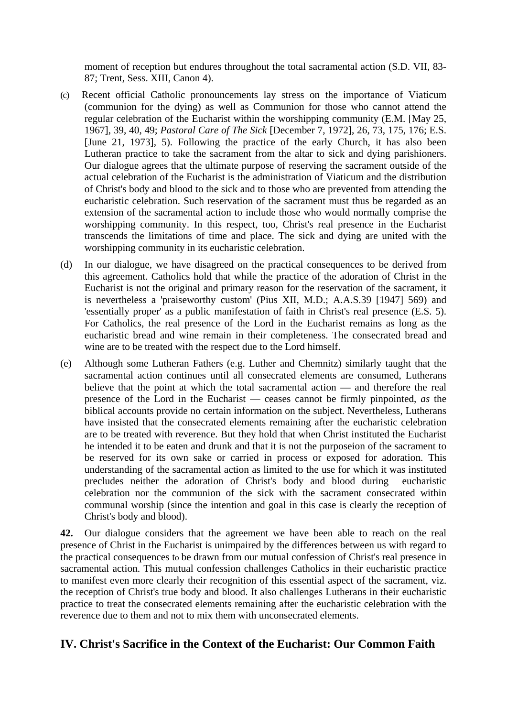moment of reception but endures throughout the total sacramental action (S.D. VII, 83- 87; Trent, Sess. XIII, Canon 4).

- (c) Recent official Catholic pronouncements lay stress on the importance of Viaticum (communion for the dying) as well as Communion for those who cannot attend the regular celebration of the Eucharist within the worshipping community (E.M. [May 25, 1967], 39, 40, 49; *Pastoral Care of The Sick* [December 7, 1972], 26, 73, 175, 176; E.S. [June 21, 1973], 5). Following the practice of the early Church, it has also been Lutheran practice to take the sacrament from the altar to sick and dying parishioners. Our dialogue agrees that the ultimate purpose of reserving the sacrament outside of the actual celebration of the Eucharist is the administration of Viaticum and the distribution of Christ's body and blood to the sick and to those who are prevented from attending the eucharistic celebration. Such reservation of the sacrament must thus be regarded as an extension of the sacramental action to include those who would normally comprise the worshipping community. In this respect, too, Christ's real presence in the Eucharist transcends the limitations of time and place. The sick and dying are united with the worshipping community in its eucharistic celebration.
- (d) In our dialogue, we have disagreed on the practical consequences to be derived from this agreement. Catholics hold that while the practice of the adoration of Christ in the Eucharist is not the original and primary reason for the reservation of the sacrament, it is nevertheless a 'praiseworthy custom' (Pius XII, M.D.; A.A.S.39 [1947] 569) and 'essentially proper' as a public manifestation of faith in Christ's real presence (E.S. 5). For Catholics, the real presence of the Lord in the Eucharist remains as long as the eucharistic bread and wine remain in their completeness. The consecrated bread and wine are to be treated with the respect due to the Lord himself.
- (e) Although some Lutheran Fathers (e.g. Luther and Chemnitz) similarly taught that the sacramental action continues until all consecrated elements are consumed, Lutherans believe that the point at which the total sacramental action — and therefore the real presence of the Lord in the Eucharist — ceases cannot be firmly pinpointed, *as* the biblical accounts provide no certain information on the subject. Nevertheless, Lutherans have insisted that the consecrated elements remaining after the eucharistic celebration are to be treated with reverence. But they hold that when Christ instituted the Eucharist he intended it to be eaten and drunk and that it is not the purposeion of the sacrament to be reserved for its own sake or carried in process or exposed for adoration. This understanding of the sacramental action as limited to the use for which it was instituted precludes neither the adoration of Christ's body and blood during eucharistic celebration nor the communion of the sick with the sacrament consecrated within communal worship (since the intention and goal in this case is clearly the reception of Christ's body and blood).

**42.** Our dialogue considers that the agreement we have been able to reach on the real presence of Christ in the Eucharist is unimpaired by the differences between us with regard to the practical consequences to be drawn from our mutual confession of Christ's real presence in sacramental action. This mutual confession challenges Catholics in their eucharistic practice to manifest even more clearly their recognition of this essential aspect of the sacrament, viz. the reception of Christ's true body and blood. It also challenges Lutherans in their eucharistic practice to treat the consecrated elements remaining after the eucharistic celebration with the reverence due to them and not to mix them with unconsecrated elements.

## **IV. Christ's Sacrifice in the Context of the Eucharist: Our Common Faith**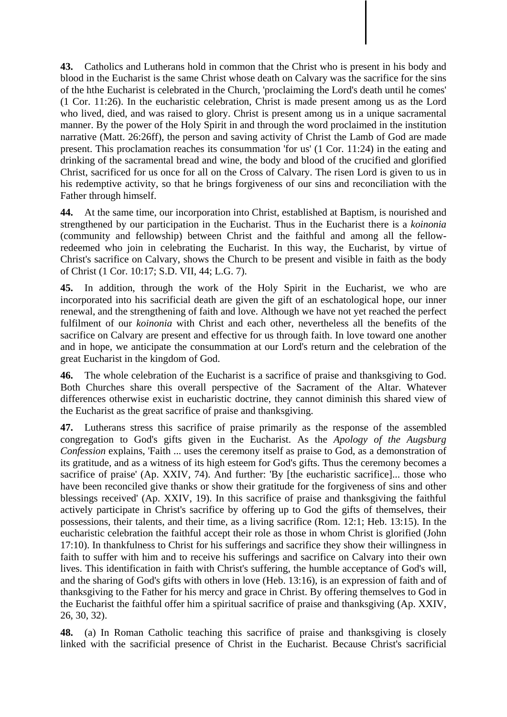**43.** Catholics and Lutherans hold in common that the Christ who is present in his body and blood in the Eucharist is the same Christ whose death on Calvary was the sacrifice for the sins of the hthe Eucharist is celebrated in the Church, 'proclaiming the Lord's death until he comes' (1 Cor. 11:26). In the eucharistic celebration, Christ is made present among us as the Lord who lived, died, and was raised to glory. Christ is present among us in a unique sacramental manner. By the power of the Holy Spirit in and through the word proclaimed in the institution narrative (Matt. 26:26ff), the person and saving activity of Christ the Lamb of God are made present. This proclamation reaches its consummation 'for us' (1 Cor. 11:24) in the eating and drinking of the sacramental bread and wine, the body and blood of the crucified and glorified Christ, sacrificed for us once for all on the Cross of Calvary. The risen Lord is given to us in his redemptive activity, so that he brings forgiveness of our sins and reconciliation with the Father through himself.

**44.** At the same time, our incorporation into Christ, established at Baptism, is nourished and strengthened by our participation in the Eucharist. Thus in the Eucharist there is a *koinonia*  (community and fellowship) between Christ and the faithful and among all the fellowredeemed who join in celebrating the Eucharist. In this way, the Eucharist, by virtue of Christ's sacrifice on Calvary, shows the Church to be present and visible in faith as the body of Christ (1 Cor. 10:17; S.D. VII, 44; L.G. 7).

**45.** In addition, through the work of the Holy Spirit in the Eucharist, we who are incorporated into his sacrificial death are given the gift of an eschatological hope, our inner renewal, and the strengthening of faith and love. Although we have not yet reached the perfect fulfilment of our *koinonia* with Christ and each other, nevertheless all the benefits of the sacrifice on Calvary are present and effective for us through faith. In love toward one another and in hope, we anticipate the consummation at our Lord's return and the celebration of the great Eucharist in the kingdom of God.

**46.** The whole celebration of the Eucharist is a sacrifice of praise and thanksgiving to God. Both Churches share this overall perspective of the Sacrament of the Altar. Whatever differences otherwise exist in eucharistic doctrine, they cannot diminish this shared view of the Eucharist as the great sacrifice of praise and thanksgiving.

**47.** Lutherans stress this sacrifice of praise primarily as the response of the assembled congregation to God's gifts given in the Eucharist. As the *Apology of the Augsburg Confession* explains, 'Faith ... uses the ceremony itself as praise to God, as a demonstration of its gratitude, and as a witness of its high esteem for God's gifts. Thus the ceremony becomes a sacrifice of praise' (Ap. XXIV, 74). And further: 'By [the eucharistic sacrifice]... those who have been reconciled give thanks or show their gratitude for the forgiveness of sins and other blessings received' (Ap. XXIV, 19). In this sacrifice of praise and thanksgiving the faithful actively participate in Christ's sacrifice by offering up to God the gifts of themselves, their possessions, their talents, and their time, as a living sacrifice (Rom. 12:1; Heb. 13:15). In the eucharistic celebration the faithful accept their role as those in whom Christ is glorified (John 17:10). In thankfulness to Christ for his sufferings and sacrifice they show their willingness in faith to suffer with him and to receive his sufferings and sacrifice on Calvary into their own lives. This identification in faith with Christ's suffering, the humble acceptance of God's will, and the sharing of God's gifts with others in love (Heb. 13:16), is an expression of faith and of thanksgiving to the Father for his mercy and grace in Christ. By offering themselves to God in the Eucharist the faithful offer him a spiritual sacrifice of praise and thanksgiving (Ap. XXIV, 26, 30, 32).

**48.** (a) In Roman Catholic teaching this sacrifice of praise and thanksgiving is closely linked with the sacrificial presence of Christ in the Eucharist. Because Christ's sacrificial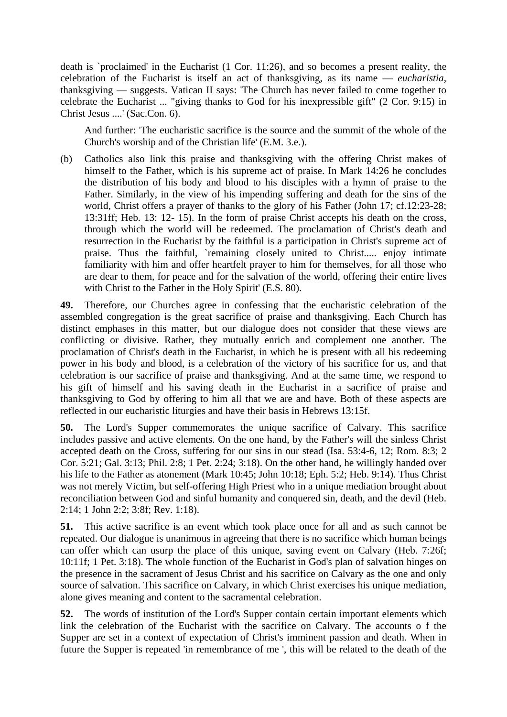death is `proclaimed' in the Eucharist (1 Cor. 11:26), and so becomes a present reality, the celebration of the Eucharist is itself an act of thanksgiving, as its name — *eucharistia,*  thanksgiving — suggests. Vatican II says: 'The Church has never failed to come together to celebrate the Eucharist ... "giving thanks to God for his inexpressible gift" (2 Cor. 9:15) in Christ Jesus ....' (Sac.Con. 6).

And further: 'The eucharistic sacrifice is the source and the summit of the whole of the Church's worship and of the Christian life' (E.M. 3.e.).

(b) Catholics also link this praise and thanksgiving with the offering Christ makes of himself to the Father, which is his supreme act of praise. In Mark 14:26 he concludes the distribution of his body and blood to his disciples with a hymn of praise to the Father. Similarly, in the view of his impending suffering and death for the sins of the world, Christ offers a prayer of thanks to the glory of his Father (John 17; cf.12:23-28; 13:31ff; Heb. 13: 12- 15). In the form of praise Christ accepts his death on the cross, through which the world will be redeemed. The proclamation of Christ's death and resurrection in the Eucharist by the faithful is a participation in Christ's supreme act of praise. Thus the faithful, `remaining closely united to Christ..... enjoy intimate familiarity with him and offer heartfelt prayer to him for themselves, for all those who are dear to them, for peace and for the salvation of the world, offering their entire lives with Christ to the Father in the Holy Spirit' (E.S. 80).

**49.** Therefore, our Churches agree in confessing that the eucharistic celebration of the assembled congregation is the great sacrifice of praise and thanksgiving. Each Church has distinct emphases in this matter, but our dialogue does not consider that these views are conflicting or divisive. Rather, they mutually enrich and complement one another. The proclamation of Christ's death in the Eucharist, in which he is present with all his redeeming power in his body and blood, is a celebration of the victory of his sacrifice for us, and that celebration is our sacrifice of praise and thanksgiving. And at the same time, we respond to his gift of himself and his saving death in the Eucharist in a sacrifice of praise and thanksgiving to God by offering to him all that we are and have. Both of these aspects are reflected in our eucharistic liturgies and have their basis in Hebrews 13:15f.

**50.** The Lord's Supper commemorates the unique sacrifice of Calvary. This sacrifice includes passive and active elements. On the one hand, by the Father's will the sinless Christ accepted death on the Cross, suffering for our sins in our stead (Isa. 53:4-6, 12; Rom. 8:3; 2 Cor. 5:21; Gal. 3:13; Phil. 2:8; 1 Pet. 2:24; 3:18). On the other hand, he willingly handed over his life to the Father as atonement (Mark 10:45; John 10:18; Eph. 5:2; Heb. 9:14). Thus Christ was not merely Victim, but self-offering High Priest who in a unique mediation brought about reconciliation between God and sinful humanity and conquered sin, death, and the devil (Heb. 2:14; 1 John 2:2; 3:8f; Rev. 1:18).

**51.** This active sacrifice is an event which took place once for all and as such cannot be repeated. Our dialogue is unanimous in agreeing that there is no sacrifice which human beings can offer which can usurp the place of this unique, saving event on Calvary (Heb. 7:26f; 10:11f; 1 Pet. 3:18). The whole function of the Eucharist in God's plan of salvation hinges on the presence in the sacrament of Jesus Christ and his sacrifice on Calvary as the one and only source of salvation. This sacrifice on Calvary, in which Christ exercises his unique mediation, alone gives meaning and content to the sacramental celebration.

**52.** The words of institution of the Lord's Supper contain certain important elements which link the celebration of the Eucharist with the sacrifice on Calvary. The accounts o f the Supper are set in a context of expectation of Christ's imminent passion and death. When in future the Supper is repeated 'in remembrance of me ', this will be related to the death of the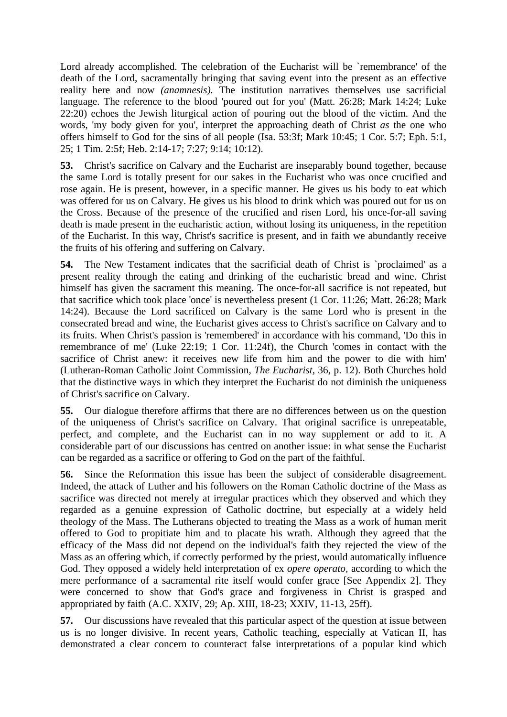Lord already accomplished. The celebration of the Eucharist will be `remembrance' of the death of the Lord, sacramentally bringing that saving event into the present as an effective reality here and now *(anamnesis).* The institution narratives themselves use sacrificial language. The reference to the blood 'poured out for you' (Matt. 26:28; Mark 14:24; Luke 22:20) echoes the Jewish liturgical action of pouring out the blood of the victim. And the words, 'my body given for you', interpret the approaching death of Christ *as* the one who offers himself to God for the sins of all people (Isa. 53:3f; Mark 10:45; 1 Cor. 5:7; Eph. 5:1, 25; 1 Tim. 2:5f; Heb. 2:14-17; 7:27; 9:14; 10:12).

**53.** Christ's sacrifice on Calvary and the Eucharist are inseparably bound together, because the same Lord is totally present for our sakes in the Eucharist who was once crucified and rose again. He is present, however, in a specific manner. He gives us his body to eat which was offered for us on Calvary. He gives us his blood to drink which was poured out for us on the Cross. Because of the presence of the crucified and risen Lord, his once-for-all saving death is made present in the eucharistic action, without losing its uniqueness, in the repetition of the Eucharist. In this way, Christ's sacrifice is present, and in faith we abundantly receive the fruits of his offering and suffering on Calvary.

**54.** The New Testament indicates that the sacrificial death of Christ is `proclaimed' as a present reality through the eating and drinking of the eucharistic bread and wine. Christ himself has given the sacrament this meaning. The once-for-all sacrifice is not repeated, but that sacrifice which took place 'once' is nevertheless present (1 Cor. 11:26; Matt. 26:28; Mark 14:24). Because the Lord sacrificed on Calvary is the same Lord who is present in the consecrated bread and wine, the Eucharist gives access to Christ's sacrifice on Calvary and to its fruits. When Christ's passion is 'remembered' in accordance with his command, 'Do this in remembrance of me' (Luke 22:19; 1 Cor. 11:24f), the Church 'comes in contact with the sacrifice of Christ anew: it receives new life from him and the power to die with him' (Lutheran-Roman Catholic Joint Commission, *The Eucharist,* 36, p. 12). Both Churches hold that the distinctive ways in which they interpret the Eucharist do not diminish the uniqueness of Christ's sacrifice on Calvary.

**55.** Our dialogue therefore affirms that there are no differences between us on the question of the uniqueness of Christ's sacrifice on Calvary. That original sacrifice is unrepeatable, perfect, and complete, and the Eucharist can in no way supplement or add to it. A considerable part of our discussions has centred on another issue: in what sense the Eucharist can be regarded as a sacrifice or offering to God on the part of the faithful.

**56.** Since the Reformation this issue has been the subject of considerable disagreement. Indeed, the attack of Luther and his followers on the Roman Catholic doctrine of the Mass as sacrifice was directed not merely at irregular practices which they observed and which they regarded as a genuine expression of Catholic doctrine, but especially at a widely held theology of the Mass. The Lutherans objected to treating the Mass as a work of human merit offered to God to propitiate him and to placate his wrath. Although they agreed that the efficacy of the Mass did not depend on the individual's faith they rejected the view of the Mass as an offering which, if correctly performed by the priest, would automatically influence God. They opposed a widely held interpretation of ex *opere operato,* according to which the mere performance of a sacramental rite itself would confer grace [See Appendix 2]. They were concerned to show that God's grace and forgiveness in Christ is grasped and appropriated by faith (A.C. XXIV, 29; Ap. XIII, 18-23; XXIV, 11-13, 25ff).

**57.** Our discussions have revealed that this particular aspect of the question at issue between us is no longer divisive. In recent years, Catholic teaching, especially at Vatican II, has demonstrated a clear concern to counteract false interpretations of a popular kind which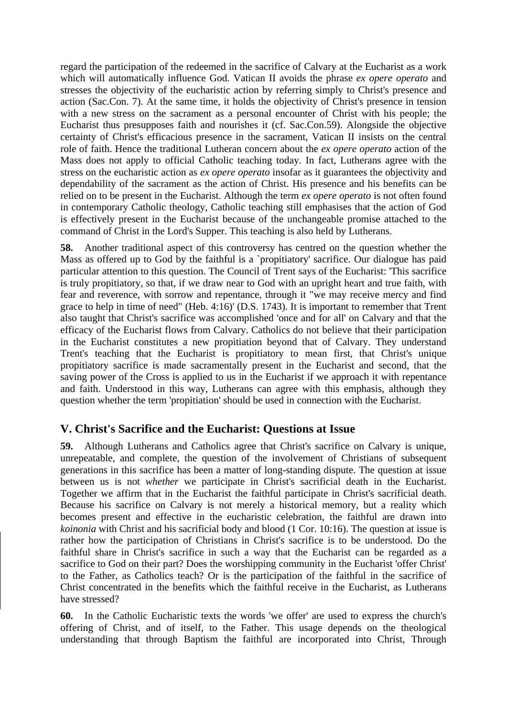regard the participation of the redeemed in the sacrifice of Calvary at the Eucharist as a work which will automatically influence God. Vatican II avoids the phrase *ex opere operato* and stresses the objectivity of the eucharistic action by referring simply to Christ's presence and action (Sac.Con. 7). At the same time, it holds the objectivity of Christ's presence in tension with a new stress on the sacrament as a personal encounter of Christ with his people; the Eucharist thus presupposes faith and nourishes it (cf. Sac.Con.59). Alongside the objective certainty of Christ's efficacious presence in the sacrament, Vatican II insists on the central role of faith. Hence the traditional Lutheran concern about the *ex opere operato* action of the Mass does not apply to official Catholic teaching today. In fact, Lutherans agree with the stress on the eucharistic action as *ex opere operato* insofar as it guarantees the objectivity and dependability of the sacrament as the action of Christ. His presence and his benefits can be relied on to be present in the Eucharist. Although the term *ex opere operato* is not often found in contemporary Catholic theology, Catholic teaching still emphasises that the action of God is effectively present in the Eucharist because of the unchangeable promise attached to the command of Christ in the Lord's Supper. This teaching is also held by Lutherans.

**58.** Another traditional aspect of this controversy has centred on the question whether the Mass as offered up to God by the faithful is a `propitiatory' sacrifice. Our dialogue has paid particular attention to this question. The Council of Trent says of the Eucharist: 'This sacrifice is truly propitiatory, so that, if we draw near to God with an upright heart and true faith, with fear and reverence, with sorrow and repentance, through it "we may receive mercy and find grace to help in time of need" (Heb. 4:16)' (D.S. 1743). It is important to remember that Trent also taught that Christ's sacrifice was accomplished 'once and for all' on Calvary and that the efficacy of the Eucharist flows from Calvary. Catholics do not believe that their participation in the Eucharist constitutes a new propitiation beyond that of Calvary. They understand Trent's teaching that the Eucharist is propitiatory to mean first, that Christ's unique propitiatory sacrifice is made sacramentally present in the Eucharist and second, that the saving power of the Cross is applied to us in the Eucharist if we approach it with repentance and faith. Understood in this way, Lutherans can agree with this emphasis, although they question whether the term 'propitiation' should be used in connection with the Eucharist.

## **V. Christ's Sacrifice and the Eucharist: Questions at Issue**

**59.** Although Lutherans and Catholics agree that Christ's sacrifice on Calvary is unique, unrepeatable, and complete, the question of the involvement of Christians of subsequent generations in this sacrifice has been a matter of long-standing dispute. The question at issue between us is not *whether* we participate in Christ's sacrificial death in the Eucharist. Together we affirm that in the Eucharist the faithful participate in Christ's sacrificial death. Because his sacrifice on Calvary is not merely a historical memory, but a reality which becomes present and effective in the eucharistic celebration, the faithful are drawn into *koinonia* with Christ and his sacrificial body and blood (1 Cor. 10:16). The question at issue is rather how the participation of Christians in Christ's sacrifice is to be understood. Do the faithful share in Christ's sacrifice in such a way that the Eucharist can be regarded as a sacrifice to God on their part? Does the worshipping community in the Eucharist 'offer Christ' to the Father, as Catholics teach? Or is the participation of the faithful in the sacrifice of Christ concentrated in the benefits which the faithful receive in the Eucharist, as Lutherans have stressed?

**60.** In the Catholic Eucharistic texts the words 'we offer' are used to express the church's offering of Christ, and of itself, to the Father. This usage depends on the theological understanding that through Baptism the faithful are incorporated into Christ, Through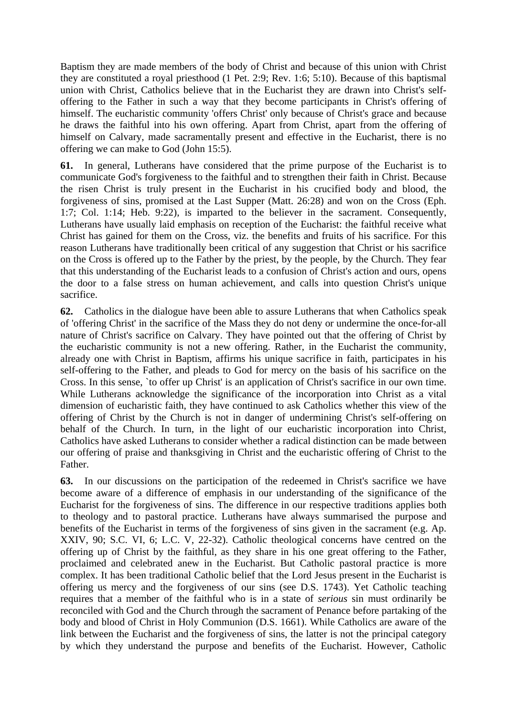Baptism they are made members of the body of Christ and because of this union with Christ they are constituted a royal priesthood (1 Pet. 2:9; Rev. 1:6; 5:10). Because of this baptismal union with Christ, Catholics believe that in the Eucharist they are drawn into Christ's selfoffering to the Father in such a way that they become participants in Christ's offering of himself. The eucharistic community 'offers Christ' only because of Christ's grace and because he draws the faithful into his own offering. Apart from Christ, apart from the offering of himself on Calvary, made sacramentally present and effective in the Eucharist, there is no offering we can make to God (John 15:5).

**61.** In general, Lutherans have considered that the prime purpose of the Eucharist is to communicate God's forgiveness to the faithful and to strengthen their faith in Christ. Because the risen Christ is truly present in the Eucharist in his crucified body and blood, the forgiveness of sins, promised at the Last Supper (Matt. 26:28) and won on the Cross (Eph. 1:7; Col. 1:14; Heb. 9:22), is imparted to the believer in the sacrament. Consequently, Lutherans have usually laid emphasis on reception of the Eucharist: the faithful receive what Christ has gained for them on the Cross, viz. the benefits and fruits of his sacrifice. For this reason Lutherans have traditionally been critical of any suggestion that Christ or his sacrifice on the Cross is offered up to the Father by the priest, by the people, by the Church. They fear that this understanding of the Eucharist leads to a confusion of Christ's action and ours, opens the door to a false stress on human achievement, and calls into question Christ's unique sacrifice.

**62.** Catholics in the dialogue have been able to assure Lutherans that when Catholics speak of 'offering Christ' in the sacrifice of the Mass they do not deny or undermine the once-for-all nature of Christ's sacrifice on Calvary. They have pointed out that the offering of Christ by the eucharistic community is not a new offering. Rather, in the Eucharist the community, already one with Christ in Baptism, affirms his unique sacrifice in faith, participates in his self-offering to the Father, and pleads to God for mercy on the basis of his sacrifice on the Cross. In this sense, `to offer up Christ' is an application of Christ's sacrifice in our own time. While Lutherans acknowledge the significance of the incorporation into Christ as a vital dimension of eucharistic faith, they have continued to ask Catholics whether this view of the offering of Christ by the Church is not in danger of undermining Christ's self-offering on behalf of the Church. In turn, in the light of our eucharistic incorporation into Christ, Catholics have asked Lutherans to consider whether a radical distinction can be made between our offering of praise and thanksgiving in Christ and the eucharistic offering of Christ to the Father.

**63.** In our discussions on the participation of the redeemed in Christ's sacrifice we have become aware of a difference of emphasis in our understanding of the significance of the Eucharist for the forgiveness of sins. The difference in our respective traditions applies both to theology and to pastoral practice. Lutherans have always summarised the purpose and benefits of the Eucharist in terms of the forgiveness of sins given in the sacrament (e.g. Ap. XXIV, 90; S.C. VI, 6; L.C. V, 22-32). Catholic theological concerns have centred on the offering up of Christ by the faithful, as they share in his one great offering to the Father, proclaimed and celebrated anew in the Eucharist. But Catholic pastoral practice is more complex. It has been traditional Catholic belief that the Lord Jesus present in the Eucharist is offering us mercy and the forgiveness of our sins (see D.S. 1743). Yet Catholic teaching requires that a member of the faithful who is in a state of *serious* sin must ordinarily be reconciled with God and the Church through the sacrament of Penance before partaking of the body and blood of Christ in Holy Communion (D.S. 1661). While Catholics are aware of the link between the Eucharist and the forgiveness of sins, the latter is not the principal category by which they understand the purpose and benefits of the Eucharist. However, Catholic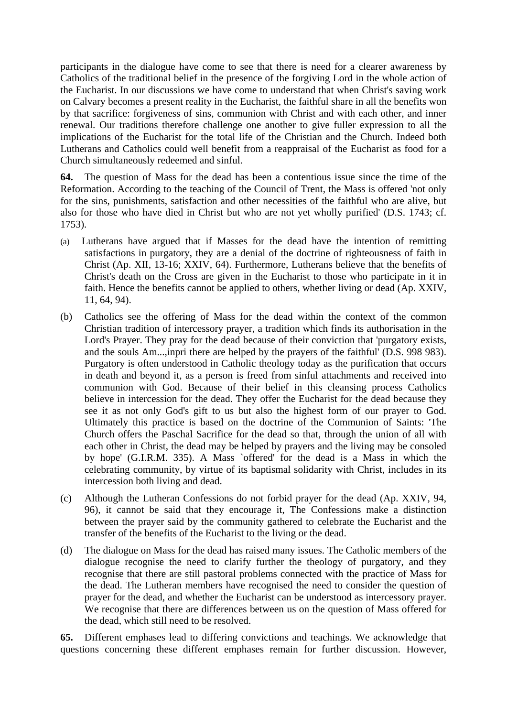participants in the dialogue have come to see that there is need for a clearer awareness by Catholics of the traditional belief in the presence of the forgiving Lord in the whole action of the Eucharist. In our discussions we have come to understand that when Christ's saving work on Calvary becomes a present reality in the Eucharist, the faithful share in all the benefits won by that sacrifice: forgiveness of sins, communion with Christ and with each other, and inner renewal. Our traditions therefore challenge one another to give fuller expression to all the implications of the Eucharist for the total life of the Christian and the Church. Indeed both Lutherans and Catholics could well benefit from a reappraisal of the Eucharist as food for a Church simultaneously redeemed and sinful.

**64.** The question of Mass for the dead has been a contentious issue since the time of the Reformation. According to the teaching of the Council of Trent, the Mass is offered 'not only for the sins, punishments, satisfaction and other necessities of the faithful who are alive, but also for those who have died in Christ but who are not yet wholly purified' (D.S. 1743; cf. 1753).

- (a) Lutherans have argued that if Masses for the dead have the intention of remitting satisfactions in purgatory, they are a denial of the doctrine of righteousness of faith in Christ (Ap. XII, 13-16; XXIV, 64). Furthermore, Lutherans believe that the benefits of Christ's death on the Cross are given in the Eucharist to those who participate in it in faith. Hence the benefits cannot be applied to others, whether living or dead (Ap. XXIV, 11, 64, 94).
- (b) Catholics see the offering of Mass for the dead within the context of the common Christian tradition of intercessory prayer, a tradition which finds its authorisation in the Lord's Prayer. They pray for the dead because of their conviction that 'purgatory exists, and the souls Am...,inpri there are helped by the prayers of the faithful' (D.S. 998 983). Purgatory is often understood in Catholic theology today as the purification that occurs in death and beyond it, as a person is freed from sinful attachments and received into communion with God. Because of their belief in this cleansing process Catholics believe in intercession for the dead. They offer the Eucharist for the dead because they see it as not only God's gift to us but also the highest form of our prayer to God. Ultimately this practice is based on the doctrine of the Communion of Saints: 'The Church offers the Paschal Sacrifice for the dead so that, through the union of all with each other in Christ, the dead may be helped by prayers and the living may be consoled by hope' (G.I.R.M. 335). A Mass `offered' for the dead is a Mass in which the celebrating community, by virtue of its baptismal solidarity with Christ, includes in its intercession both living and dead.
- (c) Although the Lutheran Confessions do not forbid prayer for the dead (Ap. XXIV, 94, 96), it cannot be said that they encourage it, The Confessions make a distinction between the prayer said by the community gathered to celebrate the Eucharist and the transfer of the benefits of the Eucharist to the living or the dead.
- (d) The dialogue on Mass for the dead has raised many issues. The Catholic members of the dialogue recognise the need to clarify further the theology of purgatory, and they recognise that there are still pastoral problems connected with the practice of Mass for the dead. The Lutheran members have recognised the need to consider the question of prayer for the dead, and whether the Eucharist can be understood as intercessory prayer. We recognise that there are differences between us on the question of Mass offered for the dead, which still need to be resolved.

**65.** Different emphases lead to differing convictions and teachings. We acknowledge that questions concerning these different emphases remain for further discussion. However,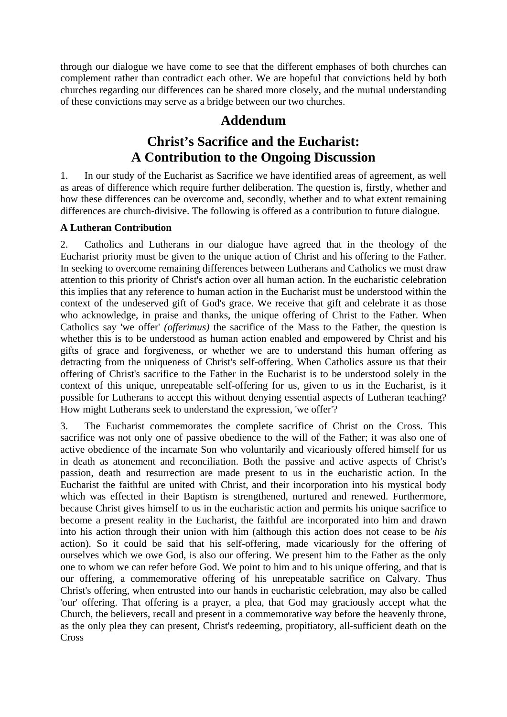through our dialogue we have come to see that the different emphases of both churches can complement rather than contradict each other. We are hopeful that convictions held by both churches regarding our differences can be shared more closely, and the mutual understanding of these convictions may serve as a bridge between our two churches.

## **Addendum**

## **Christ's Sacrifice and the Eucharist: A Contribution to the Ongoing Discussion**

1. In our study of the Eucharist as Sacrifice we have identified areas of agreement, as well as areas of difference which require further deliberation. The question is, firstly, whether and how these differences can be overcome and, secondly, whether and to what extent remaining differences are church-divisive. The following is offered as a contribution to future dialogue.

#### **A Lutheran Contribution**

2. Catholics and Lutherans in our dialogue have agreed that in the theology of the Eucharist priority must be given to the unique action of Christ and his offering to the Father. In seeking to overcome remaining differences between Lutherans and Catholics we must draw attention to this priority of Christ's action over all human action. In the eucharistic celebration this implies that any reference to human action in the Eucharist must be understood within the context of the undeserved gift of God's grace. We receive that gift and celebrate it as those who acknowledge, in praise and thanks, the unique offering of Christ to the Father. When Catholics say 'we offer' *(offerimus)* the sacrifice of the Mass to the Father, the question is whether this is to be understood as human action enabled and empowered by Christ and his gifts of grace and forgiveness, or whether we are to understand this human offering as detracting from the uniqueness of Christ's self-offering. When Catholics assure us that their offering of Christ's sacrifice to the Father in the Eucharist is to be understood solely in the context of this unique, unrepeatable self-offering for us, given to us in the Eucharist, is it possible for Lutherans to accept this without denying essential aspects of Lutheran teaching? How might Lutherans seek to understand the expression, 'we offer'?

3. The Eucharist commemorates the complete sacrifice of Christ on the Cross. This sacrifice was not only one of passive obedience to the will of the Father; it was also one of active obedience of the incarnate Son who voluntarily and vicariously offered himself for us in death as atonement and reconciliation. Both the passive and active aspects of Christ's passion, death and resurrection are made present to us in the eucharistic action. In the Eucharist the faithful are united with Christ, and their incorporation into his mystical body which was effected in their Baptism is strengthened, nurtured and renewed. Furthermore, because Christ gives himself to us in the eucharistic action and permits his unique sacrifice to become a present reality in the Eucharist, the faithful are incorporated into him and drawn into his action through their union with him (although this action does not cease to be *his*  action). So it could be said that his self-offering, made vicariously for the offering of ourselves which we owe God, is also our offering. We present him to the Father as the only one to whom we can refer before God. We point to him and to his unique offering, and that is our offering, a commemorative offering of his unrepeatable sacrifice on Calvary. Thus Christ's offering, when entrusted into our hands in eucharistic celebration, may also be called 'our' offering. That offering is a prayer, a plea, that God may graciously accept what the Church, the believers, recall and present in a commemorative way before the heavenly throne, as the only plea they can present, Christ's redeeming, propitiatory, all-sufficient death on the **Cross**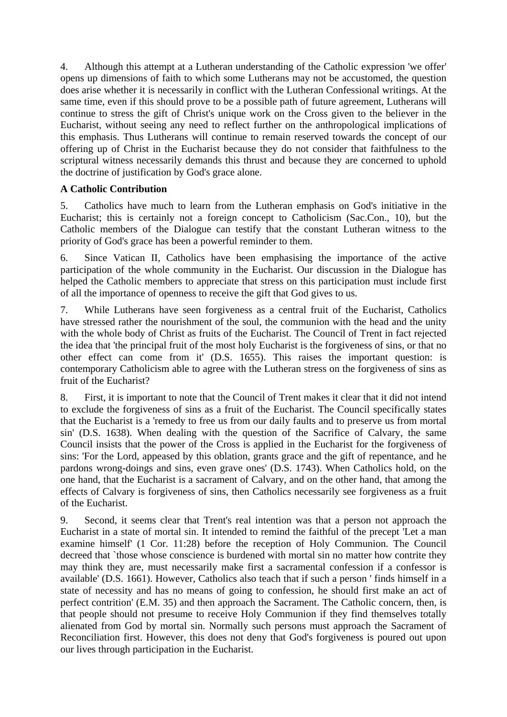4. Although this attempt at a Lutheran understanding of the Catholic expression 'we offer' opens up dimensions of faith to which some Lutherans may not be accustomed, the question does arise whether it is necessarily in conflict with the Lutheran Confessional writings. At the same time, even if this should prove to be a possible path of future agreement, Lutherans will continue to stress the gift of Christ's unique work on the Cross given to the believer in the Eucharist, without seeing any need to reflect further on the anthropological implications of this emphasis. Thus Lutherans will continue to remain reserved towards the concept of our offering up of Christ in the Eucharist because they do not consider that faithfulness to the scriptural witness necessarily demands this thrust and because they are concerned to uphold the doctrine of justification by God's grace alone.

#### **A Catholic Contribution**

5. Catholics have much to learn from the Lutheran emphasis on God's initiative in the Eucharist; this is certainly not a foreign concept to Catholicism (Sac.Con., 10), but the Catholic members of the Dialogue can testify that the constant Lutheran witness to the priority of God's grace has been a powerful reminder to them.

6. Since Vatican II, Catholics have been emphasising the importance of the active participation of the whole community in the Eucharist. Our discussion in the Dialogue has helped the Catholic members to appreciate that stress on this participation must include first of all the importance of openness to receive the gift that God gives to us.

7. While Lutherans have seen forgiveness as a central fruit of the Eucharist, Catholics have stressed rather the nourishment of the soul, the communion with the head and the unity with the whole body of Christ as fruits of the Eucharist. The Council of Trent in fact rejected the idea that 'the principal fruit of the most holy Eucharist is the forgiveness of sins, or that no other effect can come from it' (D.S. 1655). This raises the important question: is contemporary Catholicism able to agree with the Lutheran stress on the forgiveness of sins as fruit of the Eucharist?

8. First, it is important to note that the Council of Trent makes it clear that it did not intend to exclude the forgiveness of sins as a fruit of the Eucharist. The Council specifically states that the Eucharist is a 'remedy to free us from our daily faults and to preserve us from mortal sin' (D.S. 1638). When dealing with the question of the Sacrifice of Calvary, the same Council insists that the power of the Cross is applied in the Eucharist for the forgiveness of sins: 'For the Lord, appeased by this oblation, grants grace and the gift of repentance, and he pardons wrong-doings and sins, even grave ones' (D.S. 1743). When Catholics hold, on the one hand, that the Eucharist is a sacrament of Calvary, and on the other hand, that among the effects of Calvary is forgiveness of sins, then Catholics necessarily see forgiveness as a fruit of the Eucharist.

9. Second, it seems clear that Trent's real intention was that a person not approach the Eucharist in a state of mortal sin. It intended to remind the faithful of the precept 'Let a man examine himself' (1 Cor. 11:28) before the reception of Holy Communion. The Council decreed that `those whose conscience is burdened with mortal sin no matter how contrite they may think they are, must necessarily make first a sacramental confession if a confessor is available' (D.S. 1661). However, Catholics also teach that if such a person ' finds himself in a state of necessity and has no means of going to confession, he should first make an act of perfect contrition' (E.M. 35) and then approach the Sacrament. The Catholic concern, then, is that people should not presume to receive Holy Communion if they find themselves totally alienated from God by mortal sin. Normally such persons must approach the Sacrament of Reconciliation first. However, this does not deny that God's forgiveness is poured out upon our lives through participation in the Eucharist.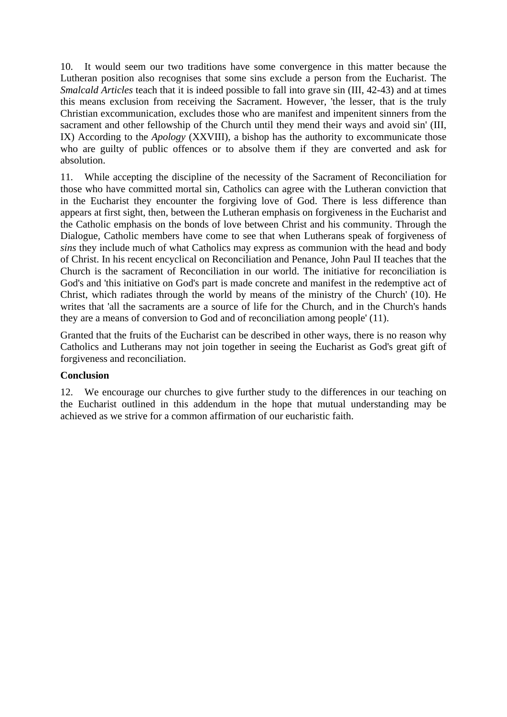10. It would seem our two traditions have some convergence in this matter because the Lutheran position also recognises that some sins exclude a person from the Eucharist. The *Smalcald Articles* teach that it is indeed possible to fall into grave sin (III, 42-43) and at times this means exclusion from receiving the Sacrament. However, 'the lesser, that is the truly Christian excommunication, excludes those who are manifest and impenitent sinners from the sacrament and other fellowship of the Church until they mend their ways and avoid sin' (III, IX) According to the *Apology* (XXVIII), a bishop has the authority to excommunicate those who are guilty of public offences or to absolve them if they are converted and ask for absolution.

11. While accepting the discipline of the necessity of the Sacrament of Reconciliation for those who have committed mortal sin, Catholics can agree with the Lutheran conviction that in the Eucharist they encounter the forgiving love of God. There is less difference than appears at first sight, then, between the Lutheran emphasis on forgiveness in the Eucharist and the Catholic emphasis on the bonds of love between Christ and his community. Through the Dialogue, Catholic members have come to see that when Lutherans speak of forgiveness of *sins* they include much of what Catholics may express as communion with the head and body of Christ. In his recent encyclical on Reconciliation and Penance, John Paul II teaches that the Church is the sacrament of Reconciliation in our world. The initiative for reconciliation is God's and 'this initiative on God's part is made concrete and manifest in the redemptive act of Christ, which radiates through the world by means of the ministry of the Church' (10). He writes that 'all the sacraments are a source of life for the Church, and in the Church's hands they are a means of conversion to God and of reconciliation among people' (11).

Granted that the fruits of the Eucharist can be described in other ways, there is no reason why Catholics and Lutherans may not join together in seeing the Eucharist as God's great gift of forgiveness and reconciliation.

#### **Conclusion**

12. We encourage our churches to give further study to the differences in our teaching on the Eucharist outlined in this addendum in the hope that mutual understanding may be achieved as we strive for a common affirmation of our eucharistic faith.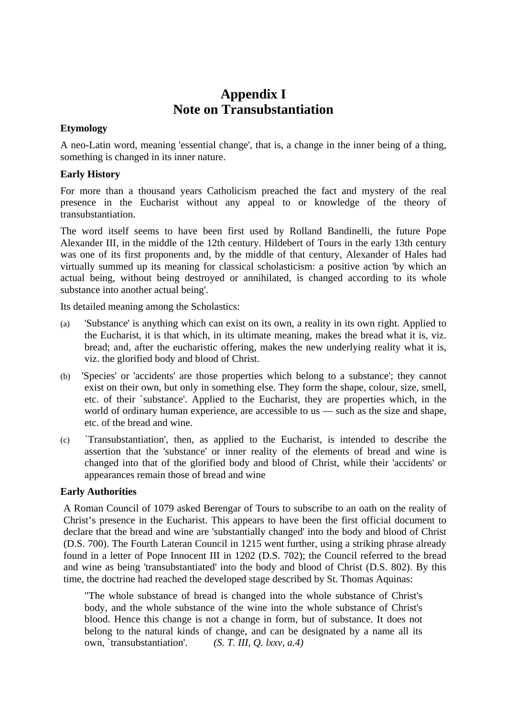## **Appendix I Note on Transubstantiation**

#### **Etymology**

A neo-Latin word, meaning 'essential change', that is, a change in the inner being of a thing, something is changed in its inner nature.

#### **Early History**

For more than a thousand years Catholicism preached the fact and mystery of the real presence in the Eucharist without any appeal to or knowledge of the theory of transubstantiation.

The word itself seems to have been first used by Rolland Bandinelli, the future Pope Alexander III, in the middle of the 12th century. Hildebert of Tours in the early 13th century was one of its first proponents and, by the middle of that century, Alexander of Hales had virtually summed up its meaning for classical scholasticism: a positive action 'by which an actual being, without being destroyed or annihilated, is changed according to its whole substance into another actual being'.

Its detailed meaning among the Scholastics:

- (a) 'Substance' is anything which can exist on its own, a reality in its own right. Applied to the Eucharist, it is that which, in its ultimate meaning, makes the bread what it is, viz. bread; and, after the eucharistic offering, makes the new underlying reality what it is, viz. the glorified body and blood of Christ.
- (b) 'Species' or 'accidents' are those properties which belong to a substance'; they cannot exist on their own, but only in something else. They form the shape, colour, size, smell, etc. of their `substance'. Applied to the Eucharist, they are properties which, in the world of ordinary human experience, are accessible to us — such as the size and shape, etc. of the bread and wine.
- (c) `Transubstantiation', then, as applied to the Eucharist, is intended to describe the assertion that the 'substance' or inner reality of the elements of bread and wine is changed into that of the glorified body and blood of Christ, while their 'accidents' or appearances remain those of bread and wine

#### **Early Authorities**

A Roman Council of 1079 asked Berengar of Tours to subscribe to an oath on the reality of Christ's presence in the Eucharist. This appears to have been the first official document to declare that the bread and wine are 'substantially changed' into the body and blood of Christ (D.S. 700). The Fourth Lateran Council in 1215 went further, using a striking phrase already found in a letter of Pope Innocent III in 1202 (D.S. 702); the Council referred to the bread and wine as being 'transubstantiated' into the body and blood of Christ (D.S. 802). By this time, the doctrine had reached the developed stage described by St. Thomas Aquinas:

"The whole substance of bread is changed into the whole substance of Christ's body, and the whole substance of the wine into the whole substance of Christ's blood. Hence this change is not a change in form, but of substance. It does not belong to the natural kinds of change, and can be designated by a name all its own, `transubstantiation'. *(S. T. III, Q. lxxv, a.4)*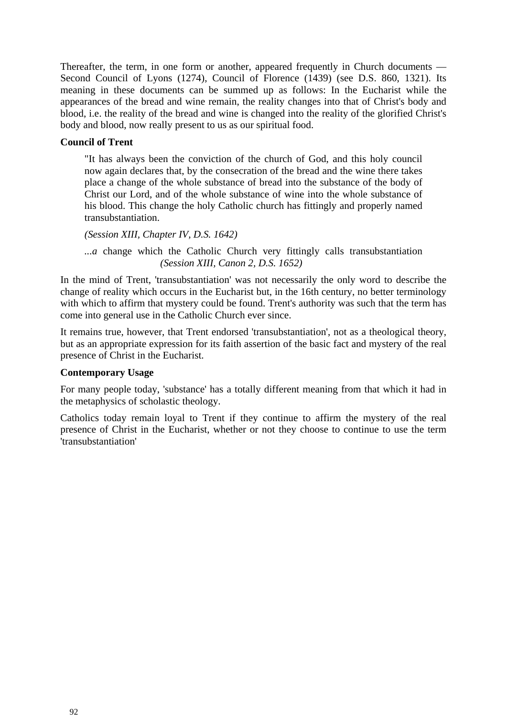Thereafter, the term, in one form or another, appeared frequently in Church documents — Second Council of Lyons (1274), Council of Florence (1439) (see D.S. 860, 1321). Its meaning in these documents can be summed up as follows: In the Eucharist while the appearances of the bread and wine remain, the reality changes into that of Christ's body and blood, i.e. the reality of the bread and wine is changed into the reality of the glorified Christ's body and blood, now really present to us as our spiritual food.

#### **Council of Trent**

"It has always been the conviction of the church of God, and this holy council now again declares that, by the consecration of the bread and the wine there takes place a change of the whole substance of bread into the substance of the body of Christ our Lord, and of the whole substance of wine into the whole substance of his blood. This change the holy Catholic church has fittingly and properly named transubstantiation.

*(Session XIII, Chapter IV, D.S. 1642)* 

*...a* change which the Catholic Church very fittingly calls transubstantiation *(Session XIII, Canon 2, D.S. 1652)* 

In the mind of Trent, 'transubstantiation' was not necessarily the only word to describe the change of reality which occurs in the Eucharist but, in the 16th century, no better terminology with which to affirm that mystery could be found. Trent's authority was such that the term has come into general use in the Catholic Church ever since.

It remains true, however, that Trent endorsed 'transubstantiation', not as a theological theory, but as an appropriate expression for its faith assertion of the basic fact and mystery of the real presence of Christ in the Eucharist.

#### **Contemporary Usage**

For many people today, 'substance' has a totally different meaning from that which it had in the metaphysics of scholastic theology.

Catholics today remain loyal to Trent if they continue to affirm the mystery of the real presence of Christ in the Eucharist, whether or not they choose to continue to use the term 'transubstantiation'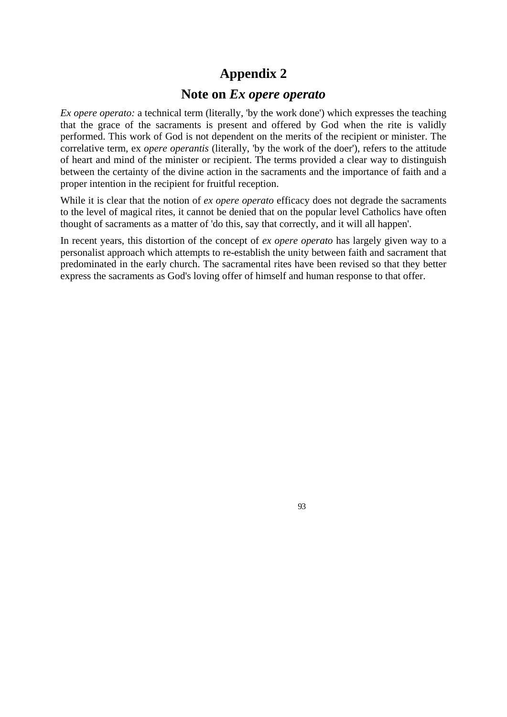## **Appendix 2**

## **Note on** *Ex opere operato*

*Ex opere operato:* a technical term (literally, 'by the work done') which expresses the teaching that the grace of the sacraments is present and offered by God when the rite is validly performed. This work of God is not dependent on the merits of the recipient or minister. The correlative term, ex *opere operantis* (literally, 'by the work of the doer'), refers to the attitude of heart and mind of the minister or recipient. The terms provided a clear way to distinguish between the certainty of the divine action in the sacraments and the importance of faith and a proper intention in the recipient for fruitful reception.

While it is clear that the notion of *ex opere operato* efficacy does not degrade the sacraments to the level of magical rites, it cannot be denied that on the popular level Catholics have often thought of sacraments as a matter of 'do this, say that correctly, and it will all happen'.

In recent years, this distortion of the concept of *ex opere operato* has largely given way to a personalist approach which attempts to re-establish the unity between faith and sacrament that predominated in the early church. The sacramental rites have been revised so that they better express the sacraments as God's loving offer of himself and human response to that offer.